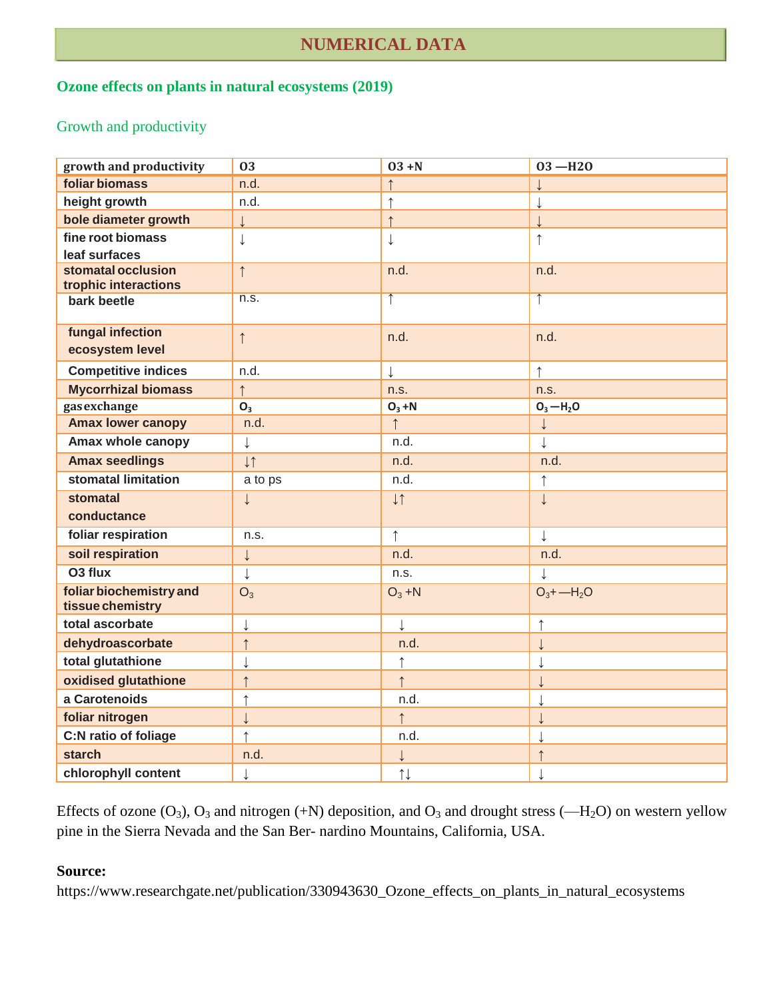# **NUMERICAL DATA**

#### **Ozone effects on plants in natural ecosystems (2019)**

### Growth and productivity

| growth and productivity                     | 03             | $03 + N$              | $03 - H20$    |
|---------------------------------------------|----------------|-----------------------|---------------|
| foliar biomass                              | n.d.           |                       |               |
| height growth                               | n.d.           | $\uparrow$            |               |
| bole diameter growth                        |                | $\uparrow$            |               |
| fine root biomass                           | $\downarrow$   | $\downarrow$          | $\uparrow$    |
| leaf surfaces                               |                |                       |               |
| stomatal occlusion<br>trophic interactions  | $\uparrow$     | n.d.                  | n.d.          |
| bark beetle                                 | n.s.           | $\uparrow$            |               |
| fungal infection<br>ecosystem level         | $\uparrow$     | n.d.                  | n.d.          |
| <b>Competitive indices</b>                  | n.d.           | $\downarrow$          | $\uparrow$    |
| <b>Mycorrhizal biomass</b>                  | $\uparrow$     | n.s.                  | n.s.          |
| gas exchange                                | O <sub>3</sub> | $O_3 + N$             | $O_3 - H_2O$  |
| <b>Amax lower canopy</b>                    | n.d.           | $\uparrow$            | $\downarrow$  |
| Amax whole canopy                           | $\downarrow$   | n.d.                  | $\downarrow$  |
| <b>Amax seedlings</b>                       | l              | n.d.                  | n.d.          |
| stomatal limitation                         | a to ps        | n.d.                  | $\uparrow$    |
| stomatal                                    | $\downarrow$   | $\downarrow \uparrow$ | $\downarrow$  |
| conductance                                 |                |                       |               |
| foliar respiration                          | n.s.           | $\uparrow$            | $\downarrow$  |
| soil respiration                            | $\downarrow$   | n.d.                  | n.d.          |
| O <sub>3</sub> flux                         | $\downarrow$   | n.s.                  | $\downarrow$  |
| foliar biochemistry and<br>tissue chemistry | $O_3$          | $O_3 + N$             | $O_3 + -H_2O$ |
| total ascorbate                             | $\downarrow$   | $\downarrow$          |               |
| dehydroascorbate                            | $\uparrow$     | n.d.                  |               |
| total glutathione                           | $\downarrow$   | $\uparrow$            |               |
| oxidised glutathione                        | $\uparrow$     | $\uparrow$            |               |
| a Carotenoids                               | $\uparrow$     | n.d.                  |               |
| foliar nitrogen                             |                | $\uparrow$            |               |
| C:N ratio of foliage                        | $\uparrow$     | n.d.                  |               |
| <b>starch</b>                               | n.d.           | $\downarrow$          |               |
| chlorophyll content                         | $\downarrow$   | $\uparrow \downarrow$ |               |

Effects of ozone  $(O_3)$ ,  $O_3$  and nitrogen (+N) deposition, and  $O_3$  and drought stress (-H<sub>2</sub>O) on western yellow pine in the Sierra Nevada and the San Ber- nardino Mountains, California, USA.

#### **Source:**

https://www.researchgate.net/publication/330943630\_Ozone\_effects\_on\_plants\_in\_natural\_ecosystems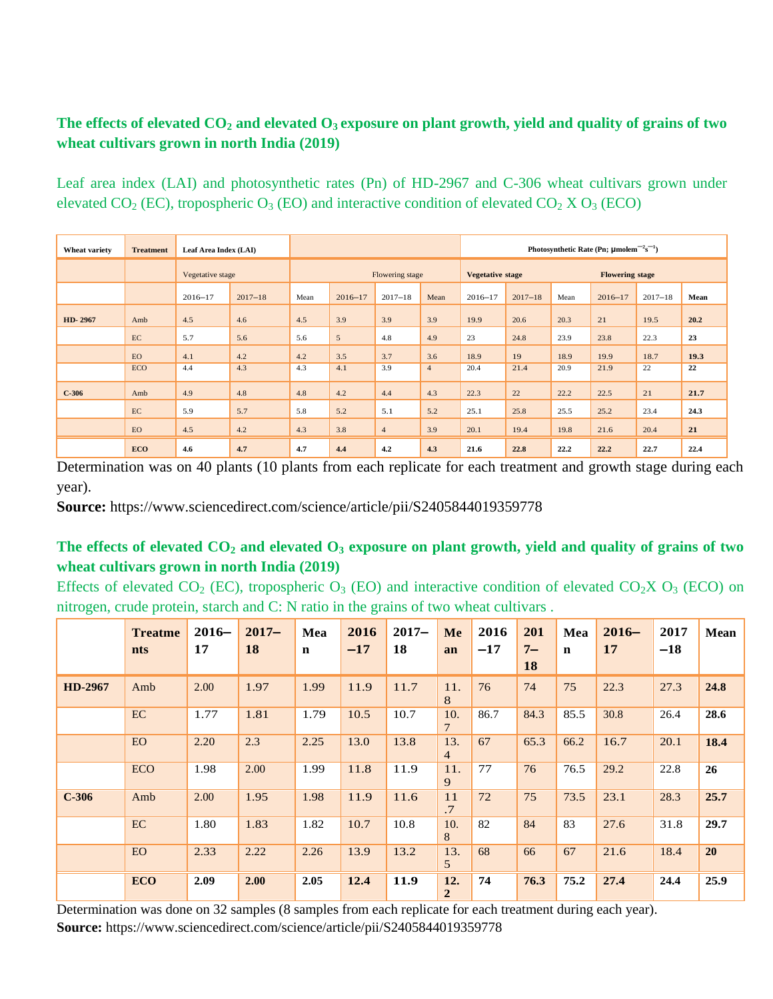### **The effects of elevated CO<sup>2</sup> and elevated O3 exposure on plant growth, yield and quality of grains of two wheat cultivars grown in north India (2019)**

Leaf area index (LAI) and photosynthetic rates (Pn) of HD-2967 and C-306 wheat cultivars grown under elevated  $CO_2$  (EC), tropospheric  $O_3$  (EO) and interactive condition of elevated  $CO_2$  X  $O_3$  (ECO)

| Wheat variety | <b>Treatment</b> | Leaf Area Index (LAI) |             |                 |                |                | Photosynthetic Rate (Pn; $\mu$ molem <sup>-2</sup> s <sup>-1</sup> ) |                                                   |             |      |             |             |      |
|---------------|------------------|-----------------------|-------------|-----------------|----------------|----------------|----------------------------------------------------------------------|---------------------------------------------------|-------------|------|-------------|-------------|------|
|               |                  | Vegetative stage      |             | Flowering stage |                |                |                                                                      | <b>Vegetative stage</b><br><b>Flowering stage</b> |             |      |             |             |      |
|               |                  | $2016 - 17$           | $2017 - 18$ | Mean            | $2016 - 17$    | $2017 - 18$    | Mean                                                                 | $2016 - 17$                                       | $2017 - 18$ | Mean | $2016 - 17$ | $2017 - 18$ | Mean |
| HD-2967       | Amb              | 4.5                   | 4.6         | 4.5             | 3.9            | 3.9            | 3.9                                                                  | 19.9                                              | 20.6        | 20.3 | 21          | 19.5        | 20.2 |
|               | EC               | 5.7                   | 5.6         | 5.6             | $\mathfrak{S}$ | 4.8            | 4.9                                                                  | 23                                                | 24.8        | 23.9 | 23.8        | 22.3        | 23   |
|               | <b>EO</b>        | 4.1                   | 4.2         | 4.2             | 3.5            | 3.7            | 3.6                                                                  | 18.9                                              | 19          | 18.9 | 19.9        | 18.7        | 19.3 |
|               | <b>ECO</b>       | 4.4                   | 4.3         | 4.3             | 4.1            | 3.9            | $\overline{4}$                                                       | 20.4                                              | 21.4        | 20.9 | 21.9        | 22          | 22   |
| $C-306$       | Amb              | 4.9                   | 4.8         | 4.8             | 4.2            | 4.4            | 4.3                                                                  | 22.3                                              | 22          | 22.2 | 22.5        | 21          | 21.7 |
|               | EC               | 5.9                   | 5.7         | 5.8             | 5.2            | 5.1            | 5.2                                                                  | 25.1                                              | 25.8        | 25.5 | 25.2        | 23.4        | 24.3 |
|               | <b>EO</b>        | 4.5                   | 4.2         | 4.3             | 3.8            | $\overline{4}$ | 3.9                                                                  | 20.1                                              | 19.4        | 19.8 | 21.6        | 20.4        | 21   |
|               | <b>ECO</b>       | 4.6                   | 4.7         | 4.7             | 4.4            | 4.2            | 4.3                                                                  | 21.6                                              | 22.8        | 22.2 | 22.2        | 22.7        | 22.4 |

Determination was on 40 plants (10 plants from each replicate for each treatment and growth stage during each year).

**Source:** https://www.sciencedirect.com/science/article/pii/S2405844019359778

### **The effects of elevated CO<sup>2</sup> and elevated O<sup>3</sup> exposure on plant growth, yield and quality of grains of two wheat cultivars grown in north India (2019)**

Effects of elevated  $CO_2$  (EC), tropospheric  $O_3$  (EO) and interactive condition of elevated  $CO_2XO_3$  (ECO) on nitrogen, crude protein, starch and C: N ratio in the grains of two wheat cultivars .

|         | <b>Treatme</b><br>nts | $2016-$<br>17 | $2017 -$<br><b>18</b> | Mea<br>$\mathbf n$ | 2016<br>$-17$ | $2017 -$<br>18 | <b>Me</b><br>an       | 2016<br>$-17$ | 201<br>$7-$<br>18 | Mea<br>$\mathbf n$ | $2016-$<br>17 | 2017<br>$-18$ | Mean      |
|---------|-----------------------|---------------|-----------------------|--------------------|---------------|----------------|-----------------------|---------------|-------------------|--------------------|---------------|---------------|-----------|
| HD-2967 | Amb                   | 2.00          | 1.97                  | 1.99               | 11.9          | 11.7           | 11.<br>8              | 76            | 74                | 75                 | 22.3          | 27.3          | 24.8      |
|         | EC                    | 1.77          | 1.81                  | 1.79               | 10.5          | 10.7           | 10.<br>7              | 86.7          | 84.3              | 85.5               | 30.8          | 26.4          | 28.6      |
|         | EO                    | 2.20          | 2.3                   | 2.25               | 13.0          | 13.8           | 13.<br>$\overline{4}$ | 67            | 65.3              | 66.2               | 16.7          | 20.1          | 18.4      |
|         | <b>ECO</b>            | 1.98          | 2.00                  | 1.99               | 11.8          | 11.9           | 11.<br>9              | 77            | 76                | 76.5               | 29.2          | 22.8          | 26        |
| $C-306$ | Amb                   | 2.00          | 1.95                  | 1.98               | 11.9          | 11.6           | 11<br>.7              | 72            | 75                | 73.5               | 23.1          | 28.3          | 25.7      |
|         | EC                    | 1.80          | 1.83                  | 1.82               | 10.7          | 10.8           | 10.<br>8              | 82            | 84                | 83                 | 27.6          | 31.8          | 29.7      |
|         | <b>EO</b>             | 2.33          | 2.22                  | 2.26               | 13.9          | 13.2           | 13.<br>5              | 68            | 66                | 67                 | 21.6          | 18.4          | <b>20</b> |
|         | <b>ECO</b>            | 2.09          | 2.00                  | 2.05               | 12.4          | 11.9           | 12.<br>$\overline{2}$ | 74            | 76.3              | 75.2               | 27.4          | 24.4          | 25.9      |

Determination was done on 32 samples (8 samples from each replicate for each treatment during each year). **Source:** https://www.sciencedirect.com/science/article/pii/S2405844019359778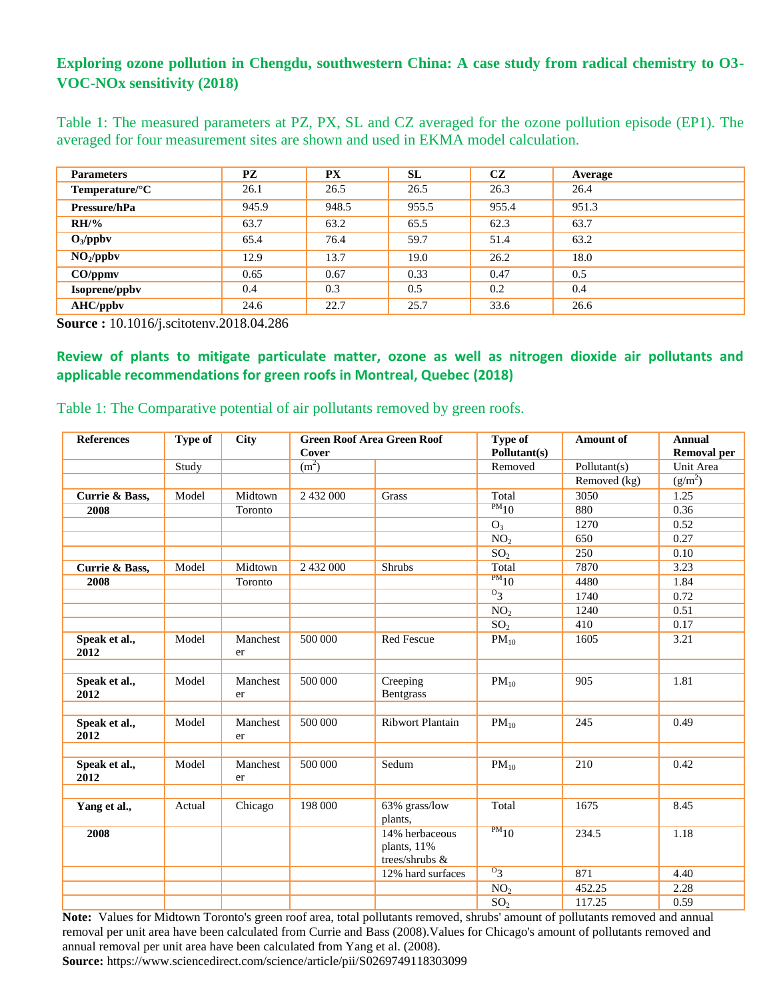### **Exploring ozone pollution in Chengdu, southwestern China: A case study from radical chemistry to O3- VOC-NOx sensitivity (2018)**

Table 1: The measured parameters at PZ, PX, SL and CZ averaged for the ozone pollution episode (EP1). The averaged for four measurement sites are shown and used in EKMA model calculation.

| <b>Parameters</b>     | <b>PZ</b> | <b>PX</b> | SL    | CZ    | Average |
|-----------------------|-----------|-----------|-------|-------|---------|
| Temperature/°C        | 26.1      | 26.5      | 26.5  | 26.3  | 26.4    |
| Pressure/hPa          | 945.9     | 948.5     | 955.5 | 955.4 | 951.3   |
| $RH/\%$               | 63.7      | 63.2      | 65.5  | 62.3  | 63.7    |
| $O_3$ /ppbv           | 65.4      | 76.4      | 59.7  | 51.4  | 63.2    |
| NO <sub>2</sub> /ppbv | 12.9      | 13.7      | 19.0  | 26.2  | 18.0    |
| $CO$ /ppmv            | 0.65      | 0.67      | 0.33  | 0.47  | 0.5     |
| Isoprene/ppbv         | 0.4       | 0.3       | 0.5   | 0.2   | 0.4     |
| <b>AHC/ppbv</b>       | 24.6      | 22.7      | 25.7  | 33.6  | 26.6    |

**Source :** 10.1016/j.scitotenv.2018.04.286

**Review of plants to mitigate particulate matter, ozone as well as nitrogen dioxide air pollutants and applicable recommendations for green roofs in Montreal, Quebec (2018)**

| <b>References</b>     | Type of | <b>City</b>    | Cover             | <b>Green Roof Area Green Roof</b>                 | Type of<br>Pollutant(s) | Amount of    | <b>Annual</b><br><b>Removal per</b> |
|-----------------------|---------|----------------|-------------------|---------------------------------------------------|-------------------------|--------------|-------------------------------------|
|                       | Study   |                | (m <sup>2</sup> ) |                                                   | Removed                 | Pollutant(s) | Unit Area                           |
|                       |         |                |                   |                                                   |                         | Removed (kg) | (g/m <sup>2</sup> )                 |
| Currie & Bass,        | Model   | Midtown        | 2 432 000         | Grass                                             | Total                   | 3050         | 1.25                                |
| 2008                  |         | Toronto        |                   |                                                   | $\overline{PM_{10}}$    | 880          | 0.36                                |
|                       |         |                |                   |                                                   | $O_3$                   | 1270         | 0.52                                |
|                       |         |                |                   |                                                   | NO <sub>2</sub>         | 650          | 0.27                                |
|                       |         |                |                   |                                                   | SO <sub>2</sub>         | 250          | 0.10                                |
| Currie & Bass,        | Model   | Midtown        | 2 432 000         | <b>Shrubs</b>                                     | Total                   | 7870         | 3.23                                |
| 2008                  |         | Toronto        |                   |                                                   | $PM_{10}$               | 4480         | 1.84                                |
|                       |         |                |                   |                                                   | $^{0}3$                 | 1740         | 0.72                                |
|                       |         |                |                   |                                                   | NO <sub>2</sub>         | 1240         | 0.51                                |
|                       |         |                |                   |                                                   | SO <sub>2</sub>         | 410          | 0.17                                |
| Speak et al.,<br>2012 | Model   | Manchest<br>er | 500 000           | <b>Red Fescue</b>                                 | $PM_{10}$               | 1605         | 3.21                                |
|                       |         |                |                   |                                                   |                         |              |                                     |
| Speak et al.,<br>2012 | Model   | Manchest<br>er | 500 000           | Creeping<br>Bentgrass                             | $PM_{10}$               | 905          | 1.81                                |
|                       |         |                |                   |                                                   |                         |              |                                     |
| Speak et al.,<br>2012 | Model   | Manchest<br>er | 500 000           | <b>Ribwort Plantain</b>                           | $PM_{10}$               | 245          | 0.49                                |
|                       |         |                |                   |                                                   |                         |              |                                     |
| Speak et al.,<br>2012 | Model   | Manchest<br>er | 500 000           | Sedum                                             | $PM_{10}$               | 210          | 0.42                                |
|                       |         |                |                   |                                                   |                         |              |                                     |
| Yang et al.,          | Actual  | Chicago        | 198 000           | 63% grass/low<br>plants,                          | Total                   | 1675         | 8.45                                |
| 2008                  |         |                |                   | 14% herbaceous<br>plants, 11%<br>trees/shrubs $&$ | $PM_{10}$               | 234.5        | 1.18                                |
|                       |         |                |                   | 12% hard surfaces                                 | $0_3$                   | 871          | 4.40                                |
|                       |         |                |                   |                                                   | $\overline{NO_2}$       | 452.25       | 2.28                                |
|                       |         |                |                   |                                                   | SO <sub>2</sub>         | 117.25       | 0.59                                |

Table 1: The Comparative potential of air pollutants removed by green roofs.

**Note:** Values for Midtown Toronto's green roof area, total pollutants removed, shrubs' amount of pollutants removed and annual removal per unit area have been calculated from Currie and Bass (2008).Values for Chicago's amount of pollutants removed and annual removal per unit area have been calculated from Yang et al. (2008).

**Source:** https://www.sciencedirect.com/science/article/pii/S0269749118303099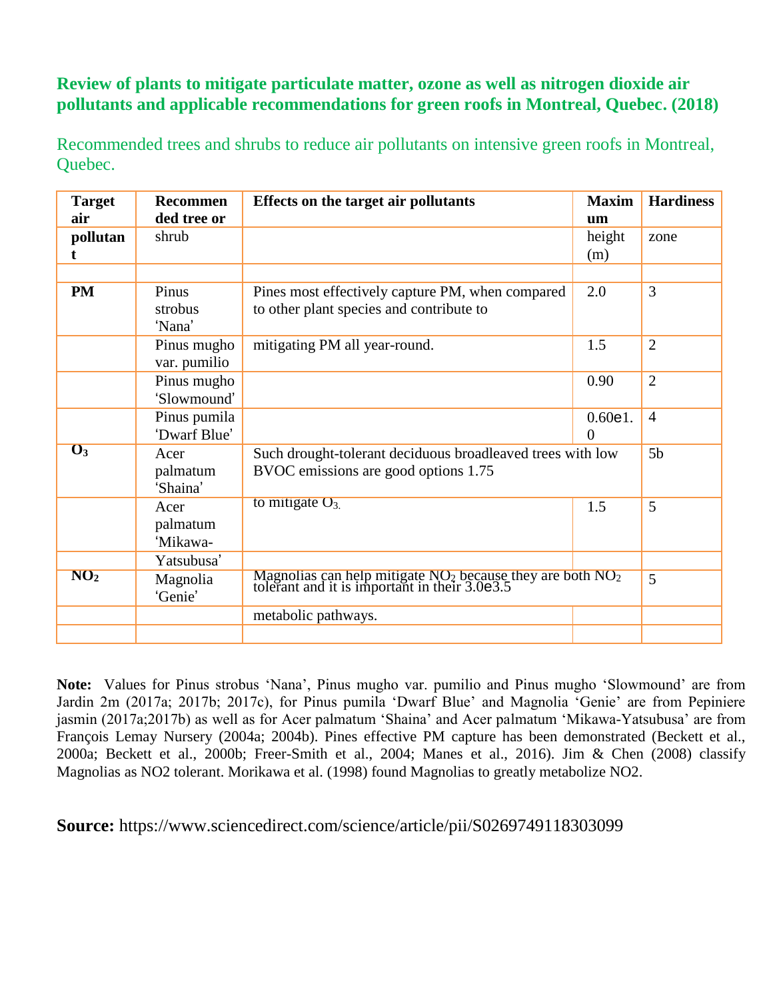## **Review of plants to mitigate particulate matter, ozone as well as nitrogen dioxide air pollutants and applicable recommendations for green roofs in Montreal, Quebec. (2018)**

Recommended trees and shrubs to reduce air pollutants on intensive green roofs in Montreal, Quebec.

| <b>Target</b>              | <b>Recommen</b>              | Effects on the target air pollutants                                                                          | <b>Maxim</b>  | <b>Hardiness</b> |
|----------------------------|------------------------------|---------------------------------------------------------------------------------------------------------------|---------------|------------------|
| air                        | ded tree or                  |                                                                                                               | um            |                  |
| pollutan                   | shrub                        |                                                                                                               | height<br>(m) | zone             |
|                            |                              |                                                                                                               |               |                  |
| <b>PM</b>                  | Pinus<br>strobus<br>'Nana'   | Pines most effectively capture PM, when compared<br>to other plant species and contribute to                  | 2.0           | 3                |
|                            | Pinus mugho<br>var. pumilio  | mitigating PM all year-round.                                                                                 | 1.5           | $\overline{2}$   |
|                            | Pinus mugho<br>'Slowmound'   |                                                                                                               | 0.90          | $\overline{2}$   |
|                            | Pinus pumila<br>'Dwarf Blue' |                                                                                                               | 0.60e1.<br>0  | $\overline{4}$   |
| $\overline{\mathbf{O}_3}$  | Acer<br>palmatum<br>'Shaina' | Such drought-tolerant deciduous broadleaved trees with low<br>BVOC emissions are good options 1.75            |               | 5 <sub>b</sub>   |
|                            | Acer<br>palmatum<br>'Mikawa- | to mitigate $O_{3.}$                                                                                          | 1.5           | 5                |
|                            | Yatsubusa'                   |                                                                                                               |               |                  |
| $\overline{\mathrm{NO_2}}$ | Magnolia<br>'Genie'          | Magnolias can help mitigate $NO_2$ because they are both $NO_2$ tolerant and it is important in their 3.0e3.5 |               | 5                |
|                            |                              | metabolic pathways.                                                                                           |               |                  |
|                            |                              |                                                                                                               |               |                  |

**Note:** Values for Pinus strobus 'Nana', Pinus mugho var. pumilio and Pinus mugho 'Slowmound' are from Jardin 2m (2017a; 2017b; 2017c), for Pinus pumila 'Dwarf Blue' and Magnolia 'Genie' are from Pepiniere jasmin (2017a;2017b) as well as for Acer palmatum 'Shaina' and Acer palmatum 'Mikawa-Yatsubusa' are from François Lemay Nursery (2004a; 2004b). Pines effective PM capture has been demonstrated (Beckett et al., 2000a; Beckett et al., 2000b; Freer-Smith et al., 2004; Manes et al., 2016). Jim & Chen (2008) classify Magnolias as NO2 tolerant. Morikawa et al. (1998) found Magnolias to greatly metabolize NO2.

**Source:** https://www.sciencedirect.com/science/article/pii/S0269749118303099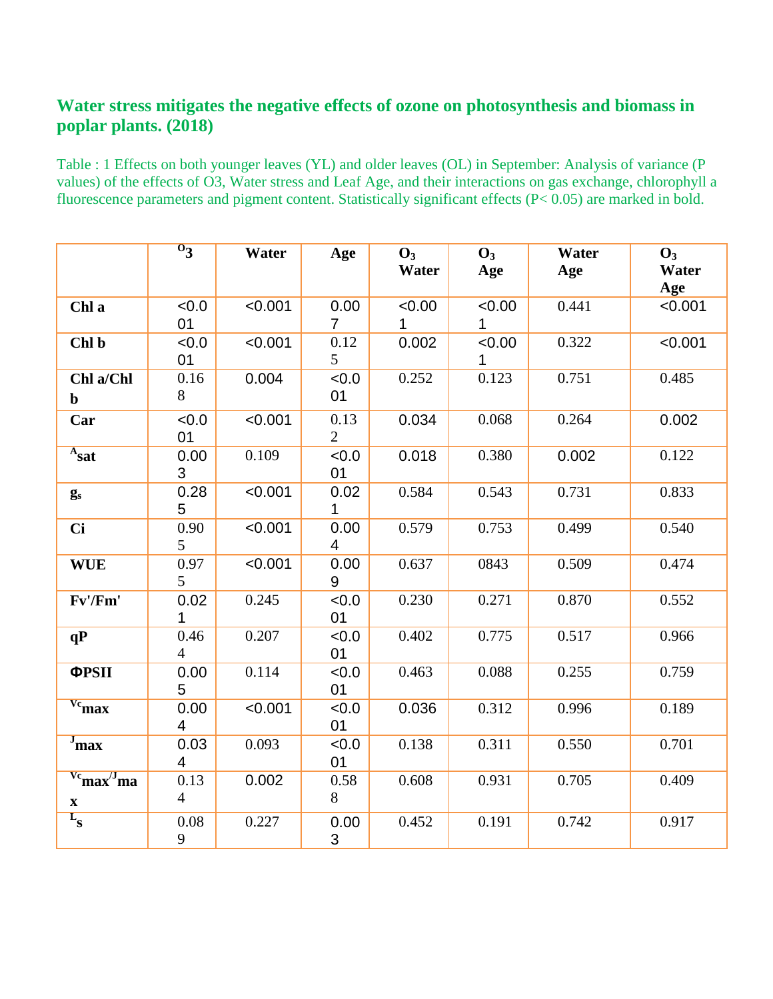## **Water stress mitigates the negative effects of ozone on photosynthesis and biomass in poplar plants. (2018)**

Table : 1 Effects on both younger leaves (YL) and older leaves (OL) in September: Analysis of variance (P values) of the effects of O3, Water stress and Leaf Age, and their interactions on gas exchange, chlorophyll a fluorescence parameters and pigment content. Statistically significant effects (P< 0.05) are marked in bold.

|                                                                  | $0_3$                  | Water   | Age                    | $\mathbf{O}_3$<br>Water | $\mathbf{O}_3$<br>Age | Water<br>Age | $\mathbf{O}_3$<br>Water<br>Age |
|------------------------------------------------------------------|------------------------|---------|------------------------|-------------------------|-----------------------|--------------|--------------------------------|
| Chl a                                                            | <0.0<br>01             | < 0.001 | 0.00<br>$\overline{7}$ | < 0.00<br>1             | < 0.00<br>1           | 0.441        | < 0.001                        |
| Chl b                                                            | < 0.0<br>01            | < 0.001 | 0.12<br>5              | 0.002                   | <0.00<br>1            | 0.322        | < 0.001                        |
| Chl a/Chl<br>$\mathbf b$                                         | 0.16<br>8              | 0.004   | < 0.0<br>01            | 0.252                   | 0.123                 | 0.751        | 0.485                          |
| Car                                                              | <0.0<br>01             | < 0.001 | 0.13<br>$\overline{2}$ | 0.034                   | 0.068                 | 0.264        | 0.002                          |
| $A_{\text{sat}}$                                                 | 0.00<br>3              | 0.109   | < 0.0<br>01            | 0.018                   | 0.380                 | 0.002        | 0.122                          |
| $g_s$                                                            | 0.28<br>5              | < 0.001 | 0.02<br>1              | 0.584                   | 0.543                 | 0.731        | 0.833                          |
| <b>Ci</b>                                                        | 0.90<br>5              | < 0.001 | 0.00<br>$\overline{4}$ | 0.579                   | 0.753                 | 0.499        | 0.540                          |
| <b>WUE</b>                                                       | 0.97<br>5              | < 0.001 | 0.00<br>9              | 0.637                   | 0843                  | 0.509        | 0.474                          |
| Fv'/Fm'                                                          | 0.02<br>1              | 0.245   | &0.0<br>01             | 0.230                   | 0.271                 | 0.870        | 0.552                          |
| qP                                                               | 0.46<br>$\overline{4}$ | 0.207   | < 0.0<br>01            | 0.402                   | 0.775                 | 0.517        | 0.966                          |
| <b>ΦPSII</b>                                                     | 0.00<br>5              | 0.114   | &0.0<br>01             | 0.463                   | 0.088                 | 0.255        | 0.759                          |
| $v_{\rm c}$ max                                                  | 0.00<br>4              | < 0.001 | <0.0<br>01             | 0.036                   | 0.312                 | 0.996        | 0.189                          |
| $J_{\text{max}}$                                                 | 0.03<br>4              | 0.093   | < 0.0<br>01            | 0.138                   | 0.311                 | 0.550        | 0.701                          |
| $\mathrm{v}^{\mathrm{c}}$ max $^{\mathrm{d}}$ ma<br>$\mathbf{X}$ | 0.13<br>$\overline{4}$ | 0.002   | 0.58<br>8              | 0.608                   | 0.931                 | 0.705        | 0.409                          |
| $L_{\rm S}$                                                      | 0.08<br>9              | 0.227   | 0.00<br>3              | 0.452                   | 0.191                 | 0.742        | 0.917                          |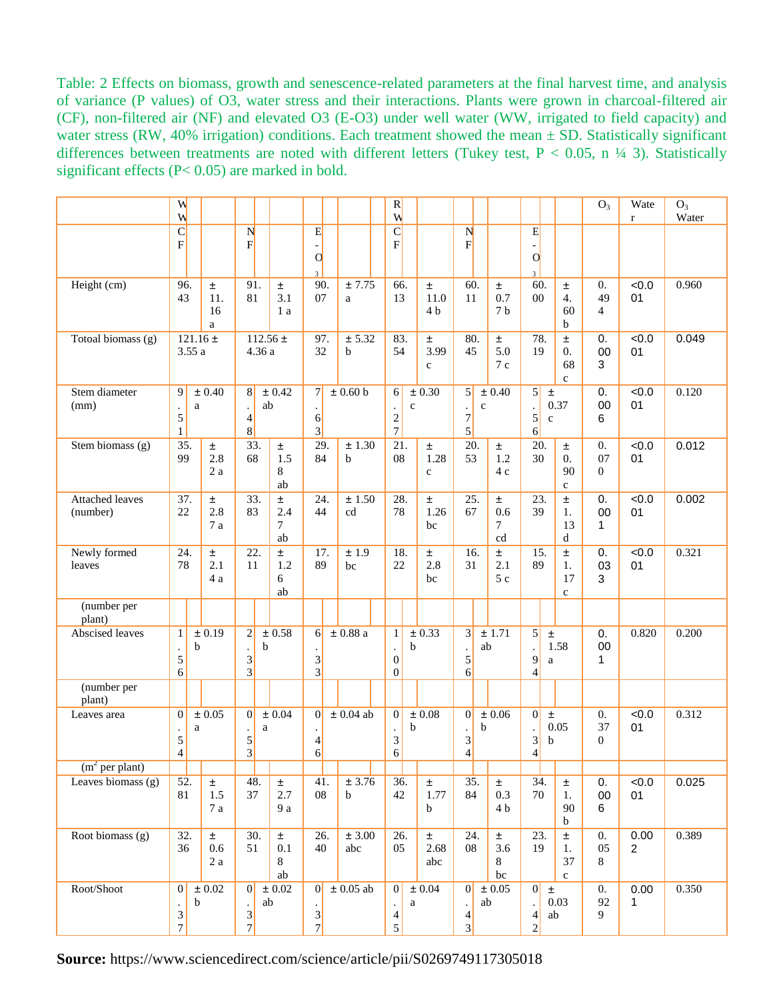Table: 2 Effects on biomass, growth and senescence-related parameters at the final harvest time, and analysis of variance (P values) of O3, water stress and their interactions. Plants were grown in charcoal-filtered air (CF), non-filtered air (NF) and elevated O3 (E-O3) under well water (WW, irrigated to field capacity) and water stress (RW, 40% irrigation) conditions. Each treatment showed the mean  $\pm$  SD. Statistically significant differences between treatments are noted with different letters (Tukey test,  $P < 0.05$ , n ¼ 3). Statistically significant effects (P< 0.05) are marked in bold.

|                                    | W<br>W                              |                            |                   |                                                                         |                                  |                                                     |                           | R<br>W                                               |                              |                                                        |                             |                                                      |                                             | O <sub>3</sub>                           | Wate<br>$\mathbf r$    | $O_3$<br>Water |
|------------------------------------|-------------------------------------|----------------------------|-------------------|-------------------------------------------------------------------------|----------------------------------|-----------------------------------------------------|---------------------------|------------------------------------------------------|------------------------------|--------------------------------------------------------|-----------------------------|------------------------------------------------------|---------------------------------------------|------------------------------------------|------------------------|----------------|
|                                    | $\overline{C}$<br>$\mathbf{F}$      |                            |                   | N<br>F                                                                  |                                  | E<br>$\Omega$                                       |                           | $\mathbf C$<br>$\mathbf{F}$                          |                              | N<br>F                                                 |                             | E<br>$\overline{O}$<br>3                             |                                             |                                          |                        |                |
| Height (cm)                        | 96.<br>43                           | Ŧ.<br>16<br>a              | 11.               | 91.<br>81                                                               | ±.<br>3.1<br>1 a                 | 90.<br>07                                           | ± 7.75<br>a               | 66.<br>13                                            | Ŧ.<br>11.0<br>4 <sub>b</sub> | 60.<br>11                                              | Ŧ.<br>0.7<br>7 <sub>b</sub> | 60.<br>00                                            | Ŧ<br>$\overline{4}$ .<br>60<br>b            | $\overline{0}$ .<br>49<br>$\overline{4}$ | &0.0<br>01             | 0.960          |
| Totoal biomass (g)                 |                                     | $121.16 \pm$<br>3.55a      |                   | 4.36 a                                                                  | $112.56 \pm$                     | 97.<br>32                                           | ± 5.32<br>h               | 83.<br>54                                            | Ŧ.<br>3.99<br>$\ddot{c}$     | 80.<br>45                                              | Ŧ.<br>5.0<br>7c             | 78.<br>19                                            | Ŧ<br>$\overline{0}$ .<br>68<br>$\mathbf{c}$ | 0.<br>00<br>3                            | &0.0<br>01             | 0.049          |
| Stem diameter<br>(mm)              | 9<br>$\cdot$<br>5<br>$\mathbf{1}$   | ± 0.40<br>a                |                   | 8<br>$\ddot{\phantom{0}}$<br>$\overline{\mathcal{L}}$<br>8 <sup>1</sup> | $\pm$ 0.42<br>ab                 | 7 <sup>1</sup><br>$6 \overline{}$<br>$3\vert$       | $\pm$ 0.60 b              | 6<br>$\mathbf{C}$<br>$\cdot$<br>$\sqrt{2}$<br>$\tau$ | ± 0.30                       | $\vert 5 \vert$<br>$\mathbf c$<br>7<br>$\vert 5 \vert$ | $\pm 0.40$                  | $\vert 5 \vert$<br>$\bullet$<br>5<br>$\vert 6 \vert$ | $\pm$<br>0.37<br>$\mathbf c$                | 0.<br>00<br>6                            | &0.0<br>01             | 0.120          |
| Stem biomass (g)                   | 35.<br>99                           | ±.                         | 2.8<br>2a         | 33.<br>68                                                               | Ŧ.<br>1.5<br>8<br>ab             | 29.<br>84                                           | $\pm$ 1.30<br>$\mathbf b$ | 21.<br>08                                            | Ŧ.<br>1.28<br>$\ddot{c}$     | 20.<br>53                                              | Ŧ.<br>1.2<br>4c             | 20.<br>30                                            | Ŧ<br>$\overline{0}$ .<br>90<br>$\mathbf{c}$ | $\overline{0}$ .<br>07<br>$\Omega$       | &0.0<br>01             | 0.012          |
| <b>Attached leaves</b><br>(number) | 37.<br>22                           | ±.                         | 2.8<br>7a         | 33.<br>83                                                               | Ŧ<br>2.4<br>$\overline{7}$<br>ab | 24.<br>44                                           | $\pm 1.50$<br>cd          | 28.<br>78                                            | Ŧ<br>1.26<br>bc              | 25.<br>67                                              | ±.<br>0.6<br>7<br>cd        | 23.<br>39                                            | Ŧ<br>1.<br>13<br>d                          | 0.<br>00<br>$\mathbf{1}$                 | &0.0<br>01             | 0.002          |
| Newly formed<br>leaves             | 24.<br>78                           | Ŧ<br>2.1                   | $4\ \mathrm{a}$   | 22.<br>11                                                               | Ŧ<br>1.2<br>6<br>ab              | 17.<br>89                                           | $\pm 1.9$<br>bc           | 18.<br>$22\,$                                        | Ŧ.<br>2.8<br>bc              | 16.<br>31                                              | Ŧ<br>2.1<br>5c              | 15.<br>89                                            | Ŧ.<br>1.<br>17<br>$\mathbf{c}$              | 0.<br>03<br>3                            | &0.0<br>01             | 0.321          |
| (number per<br>plant)              |                                     |                            |                   |                                                                         |                                  |                                                     |                           |                                                      |                              |                                                        |                             |                                                      |                                             |                                          |                        |                |
| <b>Abscised</b> leaves             | $\mathbf{1}$<br>5<br>6              | $\pm 0.19$<br>b            |                   | $\mathbf{2}$<br>$\ddot{\phantom{0}}$<br>3<br>3                          | $\pm 0.58$<br>b                  | 6<br>$\ensuremath{\mathfrak{Z}}$<br>$\vert 3 \vert$ | ± 0.88a                   | 1<br>b<br>$\mathbf{0}$<br>$\mathbf{0}$               | $\pm 0.33$                   | 3<br>5<br>6                                            | ± 1.71<br>ab                | 5<br>9<br>$\overline{4}$                             | ±<br>1.58<br>$\mathbf{a}$                   | 0.<br>00<br>1                            | 0.820                  | 0.200          |
| (number per<br>plant)              |                                     |                            |                   |                                                                         |                                  |                                                     |                           |                                                      |                              |                                                        |                             |                                                      |                                             |                                          |                        |                |
| Leaves area                        | $\mathbf{0}$<br>5<br>$\overline{4}$ | $\pm 0.05$<br>a            |                   | $\vert 0 \vert$<br>a<br>5<br>3                                          | ± 0.04                           | 0 <br>4<br>$\vert 6 \vert$                          | $\pm 0.04$ ab             | $\vert 0 \vert$<br>b<br>$\mathfrak 3$<br>6           | $\pm\,0.08$                  | $\vert 0 \vert$<br>b<br>3<br>$\overline{4}$            | $\pm 0.06$                  | $\vert 0 \vert$<br>3<br>$\overline{4}$               | $\pm$<br>0.05<br>b                          | $\overline{0}$ .<br>37<br>$\overline{0}$ | < 0.0<br>01            | 0.312          |
| (m <sup>2</sup> per plant)         |                                     |                            |                   |                                                                         |                                  |                                                     |                           |                                                      |                              |                                                        |                             |                                                      |                                             |                                          |                        |                |
| Leaves biomass $(g)$               | 52.<br>$81\,$                       | $\pm$                      | 1.5<br>7 a        | 48.<br>37                                                               | $\pm$<br>2.7<br>9 a              | 41.<br>${\bf 08}$                                   | $\pm$ 3.76<br>$\mathbf b$ | 36.<br>42                                            | $\pm$<br>1.77<br>$\mathbf b$ | 35.<br>84                                              | ±.<br>0.3<br>4 b            | 34.<br>70                                            | ±.<br>1.<br>90<br>$\mathbf b$               | 0.<br>$00\,$<br>6                        | < 0.0<br>01            | 0.025          |
| Root biomass (g)                   | 32.<br>36                           | $\pm$                      | $0.6\,$<br>$2\ a$ | 30.<br>51                                                               | ±.<br>0.1<br>8<br>ab             | 26.<br>40                                           | $\pm$ 3.00<br>abc         | 26.<br>05                                            | $\pm$<br>2.68<br>abc         | 24.<br>08                                              | ±.<br>3.6<br>8<br>bc        | 23.<br>19                                            | $\pm$<br>1.<br>37<br>$\mathbf c$            | $\overline{0}$ .<br>05<br>8              | 0.00<br>$\overline{2}$ | 0.389          |
| Root/Shoot                         | 0 <br>$\frac{3}{7}$                 | $\pm\,0.02$<br>$\mathbf b$ |                   | $\overline{0}$<br>$rac{3}{7}$                                           | $\pm\,0.02$<br>ab                | 0 <br>$rac{3}{7}$                                   | $\pm$ 0.05 ab             | 0 <br>a<br>$\overline{4}$<br>5                       | $\pm 0.04$                   | 0 <br>ab<br>$\left 4\right $<br>$\overline{3}$         | $\pm$ 0.05                  | 0 <br>4<br>$\sqrt{2}$                                | $\pm$<br>0.03<br>$\mathrm{ab}$              | $\overline{0}$ .<br>92<br>9              | 0.00<br>1              | 0.350          |

**Source:** https://www.sciencedirect.com/science/article/pii/S0269749117305018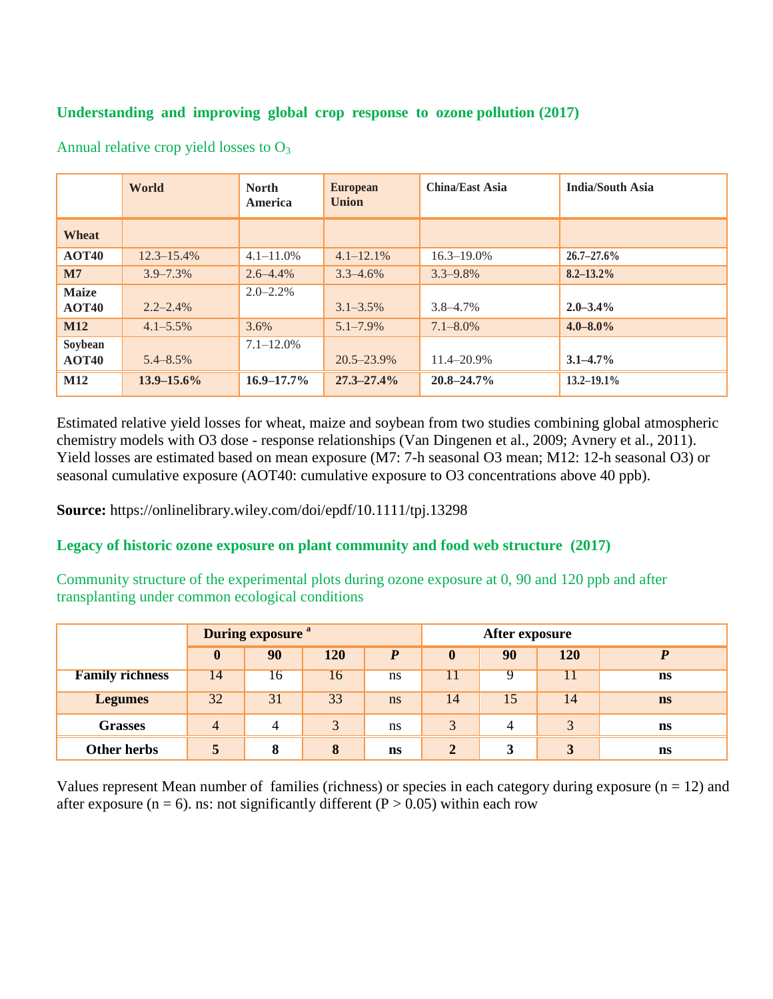#### **Understanding and improving global crop response to ozone pollution (2017)**

|              | World           | <b>North</b><br><b>America</b> | <b>European</b><br><b>Union</b> | <b>China/East Asia</b> | <b>India/South Asia</b> |
|--------------|-----------------|--------------------------------|---------------------------------|------------------------|-------------------------|
| <b>Wheat</b> |                 |                                |                                 |                        |                         |
| AOT40        | $12.3 - 15.4\%$ | $4.1 - 11.0\%$                 | $4.1 - 12.1\%$                  | $16.3 - 19.0\%$        | $26.7 - 27.6\%$         |
| $\mathbf{M}$ | $3.9 - 7.3\%$   | $2.6 - 4.4\%$                  | $3.3 - 4.6\%$                   | $3.3 - 9.8\%$          | $8.2 - 13.2\%$          |
| <b>Maize</b> |                 | $2.0 - 2.2\%$                  |                                 |                        |                         |
| AOT40        | $2.2 - 2.4\%$   |                                | $3.1 - 3.5\%$                   | $3.8 - 4.7\%$          | $2.0 - 3.4\%$           |
| <b>M12</b>   | $4.1 - 5.5\%$   | 3.6%                           | $5.1 - 7.9\%$                   | $7.1 - 8.0\%$          | $4.0 - 8.0\%$           |
| Soybean      |                 | $7.1 - 12.0\%$                 |                                 |                        |                         |
| <b>AOT40</b> | $5.4 - 8.5\%$   |                                | $20.5 - 23.9\%$                 | $11.4 - 20.9\%$        | $3.1 - 4.7\%$           |
| <b>M12</b>   | $13.9 - 15.6\%$ | $16.9 - 17.7\%$                | $27.3 - 27.4\%$                 | $20.8 - 24.7\%$        | $13.2 - 19.1\%$         |

Annual relative crop yield losses to  $O_3$ 

Estimated relative yield losses for wheat, maize and soybean from two studies combining global atmospheric chemistry models with O3 dose - response relationships (Van Dingenen et al., 2009; Avnery et al., 2011). Yield losses are estimated based on mean exposure (M7: 7-h seasonal O3 mean; M12: 12-h seasonal O3) or seasonal cumulative exposure (AOT40: cumulative exposure to O3 concentrations above 40 ppb).

**Source:** https://onlinelibrary.wiley.com/doi/epdf/10.1111/tpj.13298

#### **Legacy of historic ozone exposure on plant community and food web structure (2017)**

Community structure of the experimental plots during ozone exposure at 0, 90 and 120 ppb and after transplanting under common ecological conditions

|                        |                | During exposure <sup>a</sup> |     |    |                |         |              |           |
|------------------------|----------------|------------------------------|-----|----|----------------|---------|--------------|-----------|
|                        | $\bf{0}$       | 90                           | 120 | D  | $\bf{0}$       | 90      | 120          |           |
| <b>Family richness</b> | 14             | 16                           | 16  | ns | 11             |         |              | ns        |
| <b>Legumes</b>         | 32             | 31                           | 33  | ns | 14             | 15      | 14           | <b>ns</b> |
| <b>Grasses</b>         | $\overline{4}$ | 4                            | 3   | ns | 3              | 4       | $\mathbf{z}$ | <b>ns</b> |
| Other herbs            | 5              | 8                            | 8   | ns | $\overline{2}$ | 3<br>ω. | 3            | <b>ns</b> |

Values represent Mean number of families (richness) or species in each category during exposure  $(n = 12)$  and after exposure ( $n = 6$ ). ns: not significantly different ( $P > 0.05$ ) within each row